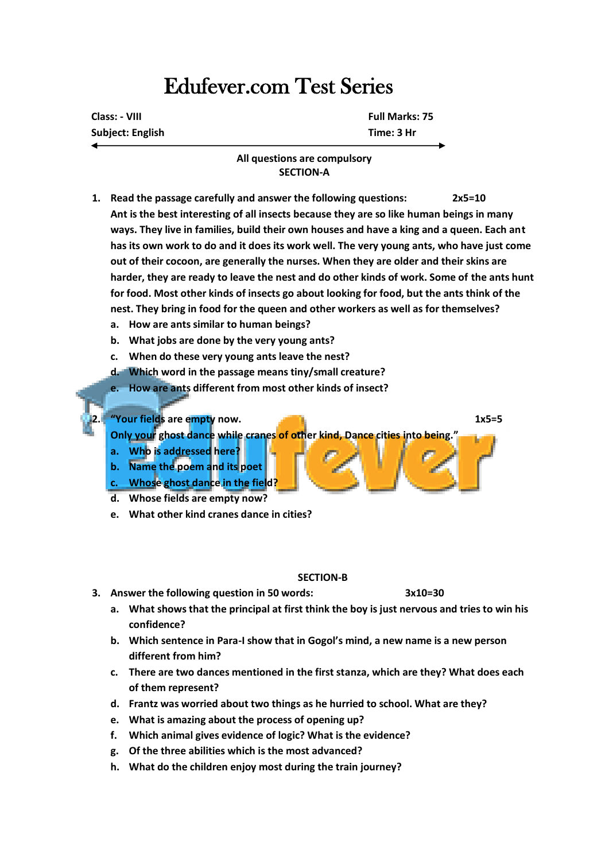# Edufever.com Test Series

| Class: - VIII    | <b>Full Marks: 75</b> |
|------------------|-----------------------|
| Subject: English | Time: 3 Hr            |
|                  |                       |

#### **All questions are compulsory SECTION-A**

- **1. Read the passage carefully and answer the following questions: 2x5=10 Ant is the best interesting of all insects because they are so like human beings in many ways. They live in families, build their own houses and have a king and a queen. Each ant has its own work to do and it does its work well. The very young ants, who have just come out of their cocoon, are generally the nurses. When they are older and their skins are harder, they are ready to leave the nest and do other kinds of work. Some of the ants hunt for food. Most other kinds of insects go about looking for food, but the ants think of the nest. They bring in food for the queen and other workers as well as for themselves?**
	- **a. How are ants similar to human beings?**
	- **b. What jobs are done by the very young ants?**
	- **c. When do these very young ants leave the nest?**
	- **d. Which word in the passage means tiny/small creature?**
	- **e. How are ants different from most other kinds of insect?**

**2. "Your fields are empty now. 1x5=5**

**Only your ghost dance while cranes of other kind, Dance cities into being."**

- **a. Who is addressed here?**
- **b. Name the poem and its poet**
- **c. Whose ghost dance in the field?**
- **d. Whose fields are empty now?**
- **e. What other kind cranes dance in cities?**

#### **SECTION-B**

- **3. Answer the following question in 50 words: 3x10=30**
	- **a. What shows that the principal at first think the boy is just nervous and tries to win his confidence?**
	- **b. Which sentence in Para-I show that in Gogol's mind, a new name is a new person different from him?**
	- **c. There are two dances mentioned in the first stanza, which are they? What does each of them represent?**
	- **d. Frantz was worried about two things as he hurried to school. What are they?**
	- **e. What is amazing about the process of opening up?**
	- **f. Which animal gives evidence of logic? What is the evidence?**
	- **g. Of the three abilities which is the most advanced?**
	- **h. What do the children enjoy most during the train journey?**